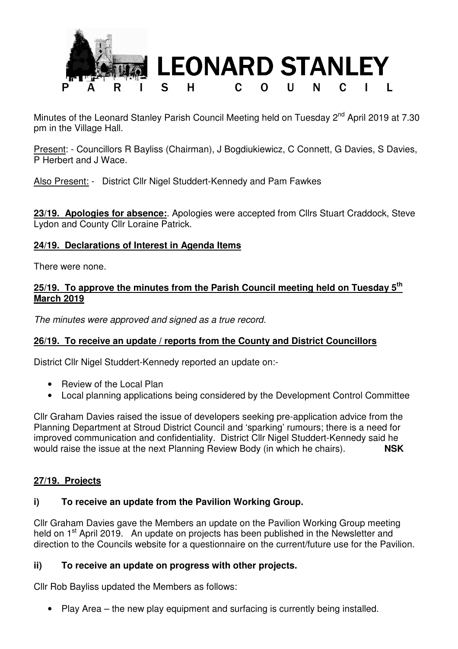

Minutes of the Leonard Stanley Parish Council Meeting held on Tuesday 2<sup>nd</sup> April 2019 at 7.30 pm in the Village Hall.

Present: - Councillors R Bayliss (Chairman), J Bogdiukiewicz, C Connett, G Davies, S Davies, P Herbert and J Wace.

Also Present: - District Cllr Nigel Studdert-Kennedy and Pam Fawkes

**23/19. Apologies for absence:**. Apologies were accepted from Cllrs Stuart Craddock, Steve Lydon and County Cllr Loraine Patrick.

### **24/19. Declarations of Interest in Agenda Items**

There were none.

### **25/19. To approve the minutes from the Parish Council meeting held on Tuesday 5th March 2019**

The minutes were approved and signed as a true record.

# **26/19. To receive an update / reports from the County and District Councillors**

District Cllr Nigel Studdert-Kennedy reported an update on:-

- Review of the Local Plan
- Local planning applications being considered by the Development Control Committee

Cllr Graham Davies raised the issue of developers seeking pre-application advice from the Planning Department at Stroud District Council and 'sparking' rumours; there is a need for improved communication and confidentiality. District Cllr Nigel Studdert-Kennedy said he would raise the issue at the next Planning Review Body (in which he chairs). **NSK**

# **27/19. Projects**

# **i) To receive an update from the Pavilion Working Group.**

Cllr Graham Davies gave the Members an update on the Pavilion Working Group meeting held on 1<sup>st</sup> April 2019. An update on projects has been published in the Newsletter and direction to the Councils website for a questionnaire on the current/future use for the Pavilion.

### **ii) To receive an update on progress with other projects.**

Cllr Rob Bayliss updated the Members as follows:

• Play Area – the new play equipment and surfacing is currently being installed.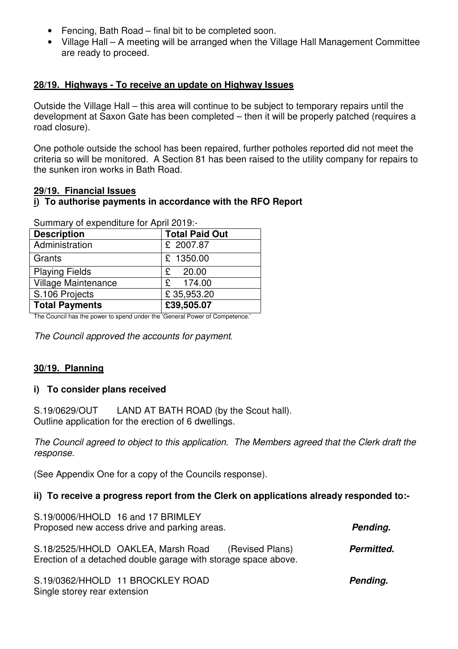- Fencing, Bath Road final bit to be completed soon.
- Village Hall A meeting will be arranged when the Village Hall Management Committee are ready to proceed.

# **28/19. Highways - To receive an update on Highway Issues**

Outside the Village Hall – this area will continue to be subject to temporary repairs until the development at Saxon Gate has been completed – then it will be properly patched (requires a road closure).

One pothole outside the school has been repaired, further potholes reported did not meet the criteria so will be monitored. A Section 81 has been raised to the utility company for repairs to the sunken iron works in Bath Road.

### **29/19. Financial Issues**

### **i) To authorise payments in accordance with the RFO Report**

| <b>Description</b>         | <b>Total Paid Out</b> |
|----------------------------|-----------------------|
| Administration             | £ 2007.87             |
| Grants                     | £ 1350.00             |
| <b>Playing Fields</b>      | £ $20.00$             |
| <b>Village Maintenance</b> | £ 174.00              |
| S.106 Projects             | £35,953.20            |
| <b>Total Payments</b>      | £39,505.07            |

Summary of expenditure for April 2019:-

The Council has the power to spend under the 'General Power of Competence.'

The Council approved the accounts for payment*.* 

# **30/19. Planning**

### **i) To consider plans received**

S.19/0629/OUT LAND AT BATH ROAD (by the Scout hall). Outline application for the erection of 6 dwellings.

The Council agreed to object to this application. The Members agreed that the Clerk draft the response.

(See Appendix One for a copy of the Councils response).

### **ii) To receive a progress report from the Clerk on applications already responded to:-**

| S.19/0006/HHOLD 16 and 17 BRIMLEY<br>Proposed new access drive and parking areas.                                       | Pending.   |
|-------------------------------------------------------------------------------------------------------------------------|------------|
| S.18/2525/HHOLD OAKLEA, Marsh Road<br>(Revised Plans)<br>Erection of a detached double garage with storage space above. | Permitted. |

S.19/0362/HHOLD 11 BROCKLEY ROAD **Pending.** Single storey rear extension